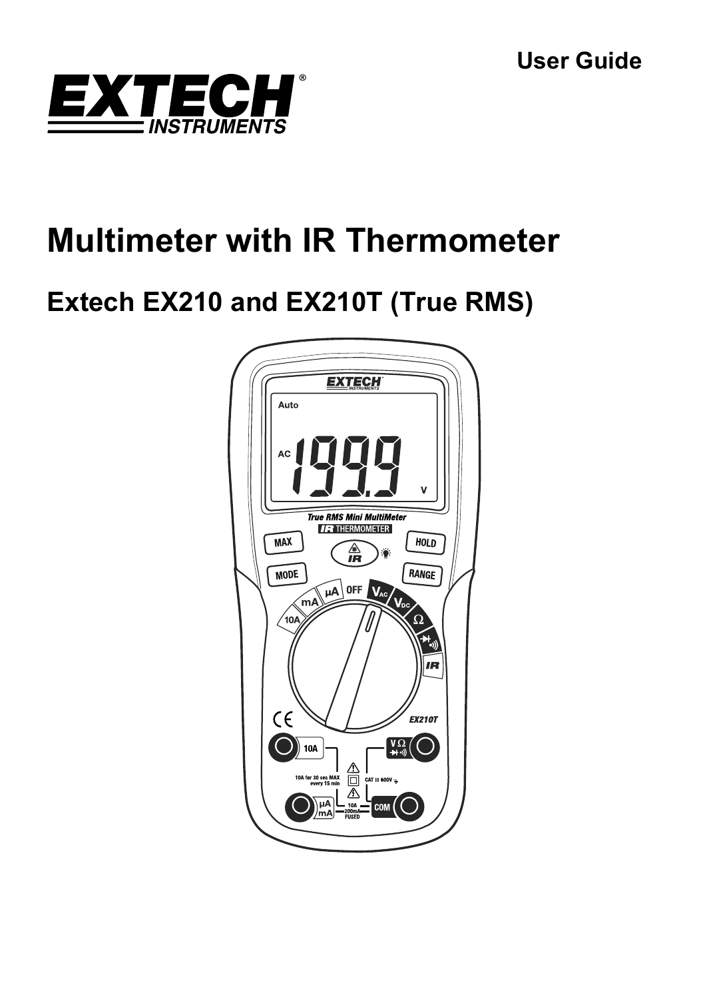**User Guide** 



# **Multimeter with IR Thermometer**

# **Extech EX210 and EX210T (True RMS)**

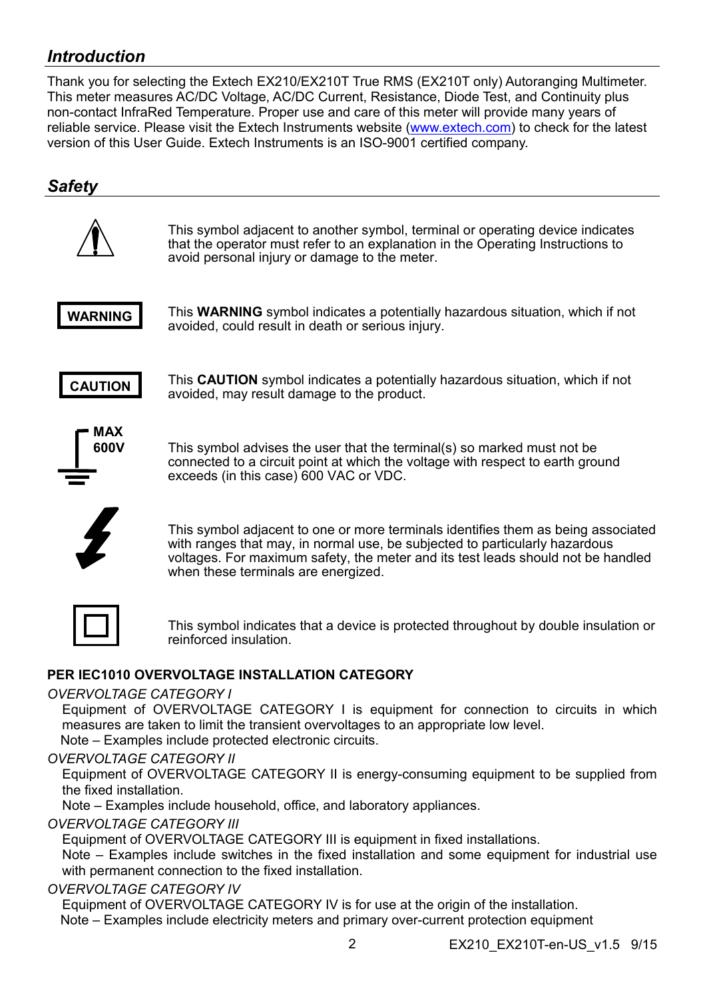## *Introduction*

Thank you for selecting the Extech EX210/EX210T True RMS (EX210T only) Autoranging Multimeter. This meter measures AC/DC Voltage, AC/DC Current, Resistance, Diode Test, and Continuity plus non-contact InfraRed Temperature. Proper use and care of this meter will provide many years of reliable service. Please visit the Extech Instruments website (www.extech.com) to check for the latest version of this User Guide. Extech Instruments is an ISO-9001 certified company.

## *Safety*  This symbol adjacent to another symbol, terminal or operating device indicates that the operator must refer to an explanation in the Operating Instructions to avoid personal injury or damage to the meter. This **WARNING** symbol indicates a potentially hazardous situation, which if not avoided, could result in death or serious injury. This **CAUTION** symbol indicates a potentially hazardous situation, which if not avoided, may result damage to the product. This symbol advises the user that the terminal(s) so marked must not be connected to a circuit point at which the voltage with respect to earth ground exceeds (in this case) 600 VAC or VDC. This symbol adjacent to one or more terminals identifies them as being associated with ranges that may, in normal use, be subjected to particularly hazardous voltages. For maximum safety, the meter and its test leads should not be handled when these terminals are energized. This symbol indicates that a device is protected throughout by double insulation or reinforced insulation. **WARNING CAUTION MAX 600V**

#### **PER IEC1010 OVERVOLTAGE INSTALLATION CATEGORY**

#### *OVERVOLTAGE CATEGORY I*

Equipment of OVERVOLTAGE CATEGORY I is equipment for connection to circuits in which measures are taken to limit the transient overvoltages to an appropriate low level. Note – Examples include protected electronic circuits.

#### *OVERVOLTAGE CATEGORY II*

Equipment of OVERVOLTAGE CATEGORY II is energy-consuming equipment to be supplied from the fixed installation.

Note – Examples include household, office, and laboratory appliances.

#### *OVERVOLTAGE CATEGORY III*

Equipment of OVERVOLTAGE CATEGORY III is equipment in fixed installations.

 Note – Examples include switches in the fixed installation and some equipment for industrial use with permanent connection to the fixed installation.

#### *OVERVOLTAGE CATEGORY IV*

Equipment of OVERVOLTAGE CATEGORY IV is for use at the origin of the installation.

Note – Examples include electricity meters and primary over-current protection equipment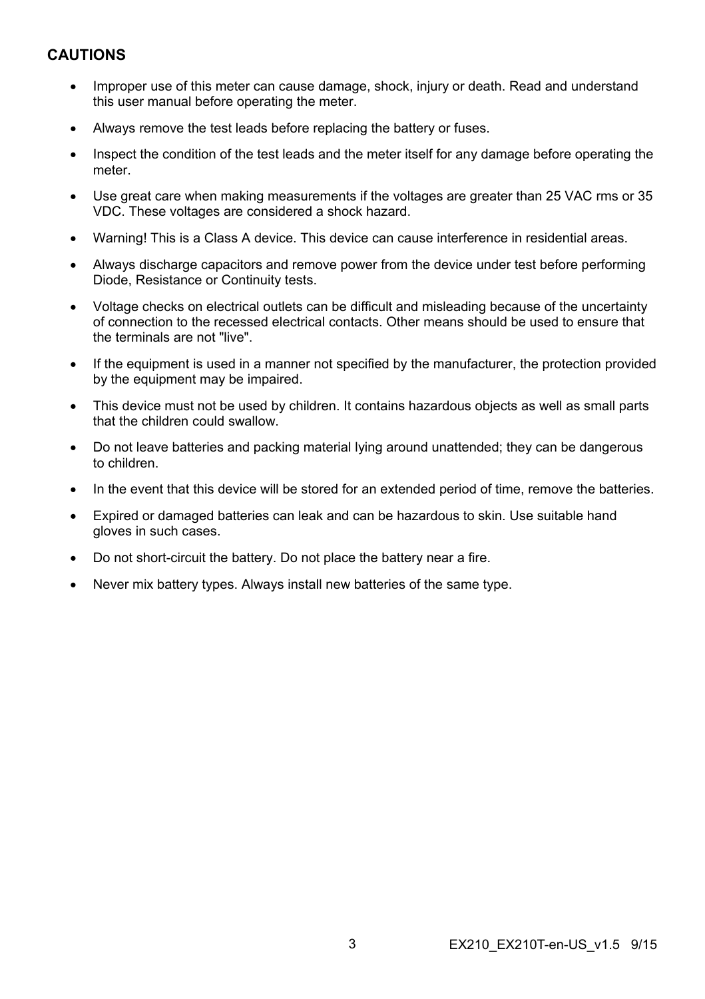#### **CAUTIONS**

- Improper use of this meter can cause damage, shock, injury or death. Read and understand this user manual before operating the meter.
- Always remove the test leads before replacing the battery or fuses.
- Inspect the condition of the test leads and the meter itself for any damage before operating the meter.
- Use great care when making measurements if the voltages are greater than 25 VAC rms or 35 VDC. These voltages are considered a shock hazard.
- Warning! This is a Class A device. This device can cause interference in residential areas.
- Always discharge capacitors and remove power from the device under test before performing Diode, Resistance or Continuity tests.
- Voltage checks on electrical outlets can be difficult and misleading because of the uncertainty of connection to the recessed electrical contacts. Other means should be used to ensure that the terminals are not "live".
- If the equipment is used in a manner not specified by the manufacturer, the protection provided by the equipment may be impaired.
- This device must not be used by children. It contains hazardous objects as well as small parts that the children could swallow.
- Do not leave batteries and packing material lying around unattended; they can be dangerous to children.
- In the event that this device will be stored for an extended period of time, remove the batteries.
- Expired or damaged batteries can leak and can be hazardous to skin. Use suitable hand gloves in such cases.
- Do not short-circuit the battery. Do not place the battery near a fire.
- Never mix battery types. Always install new batteries of the same type.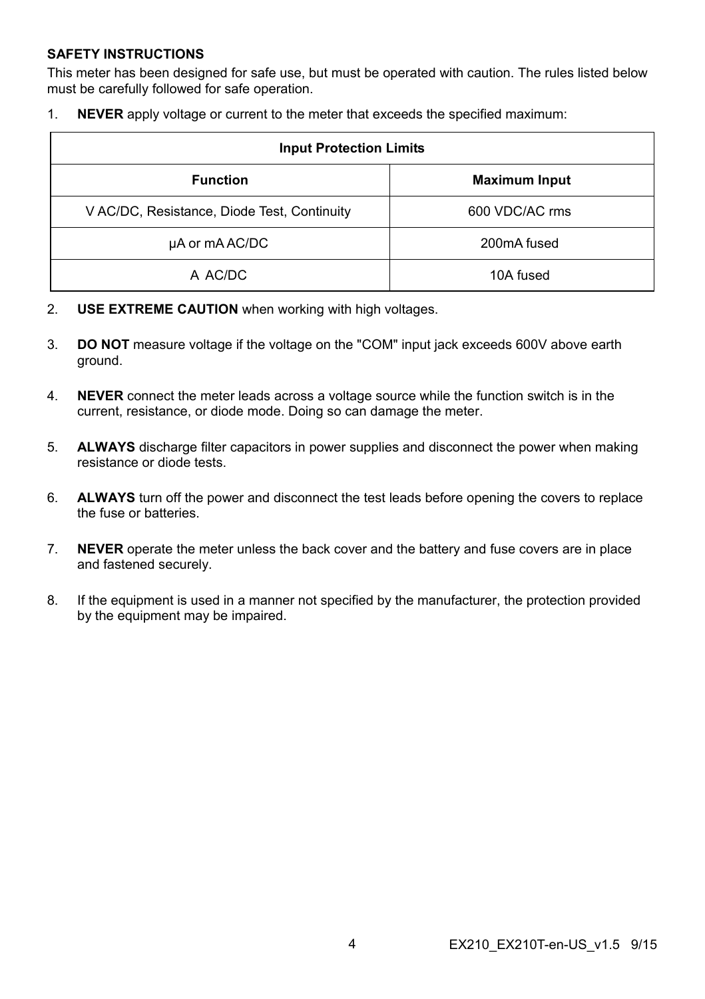#### **SAFETY INSTRUCTIONS**

This meter has been designed for safe use, but must be operated with caution. The rules listed below must be carefully followed for safe operation.

1. **NEVER** apply voltage or current to the meter that exceeds the specified maximum:

| <b>Input Protection Limits</b>              |                      |  |  |  |
|---------------------------------------------|----------------------|--|--|--|
| <b>Function</b>                             | <b>Maximum Input</b> |  |  |  |
| V AC/DC, Resistance, Diode Test, Continuity | 600 VDC/AC rms       |  |  |  |
| µA or mA AC/DC                              | 200mA fused          |  |  |  |
| A AC/DC                                     | 10A fused            |  |  |  |

- 2. **USE EXTREME CAUTION** when working with high voltages.
- 3. **DO NOT** measure voltage if the voltage on the "COM" input jack exceeds 600V above earth ground.
- 4. **NEVER** connect the meter leads across a voltage source while the function switch is in the current, resistance, or diode mode. Doing so can damage the meter.
- 5. **ALWAYS** discharge filter capacitors in power supplies and disconnect the power when making resistance or diode tests.
- 6. **ALWAYS** turn off the power and disconnect the test leads before opening the covers to replace the fuse or batteries.
- 7. **NEVER** operate the meter unless the back cover and the battery and fuse covers are in place and fastened securely.
- 8. If the equipment is used in a manner not specified by the manufacturer, the protection provided by the equipment may be impaired.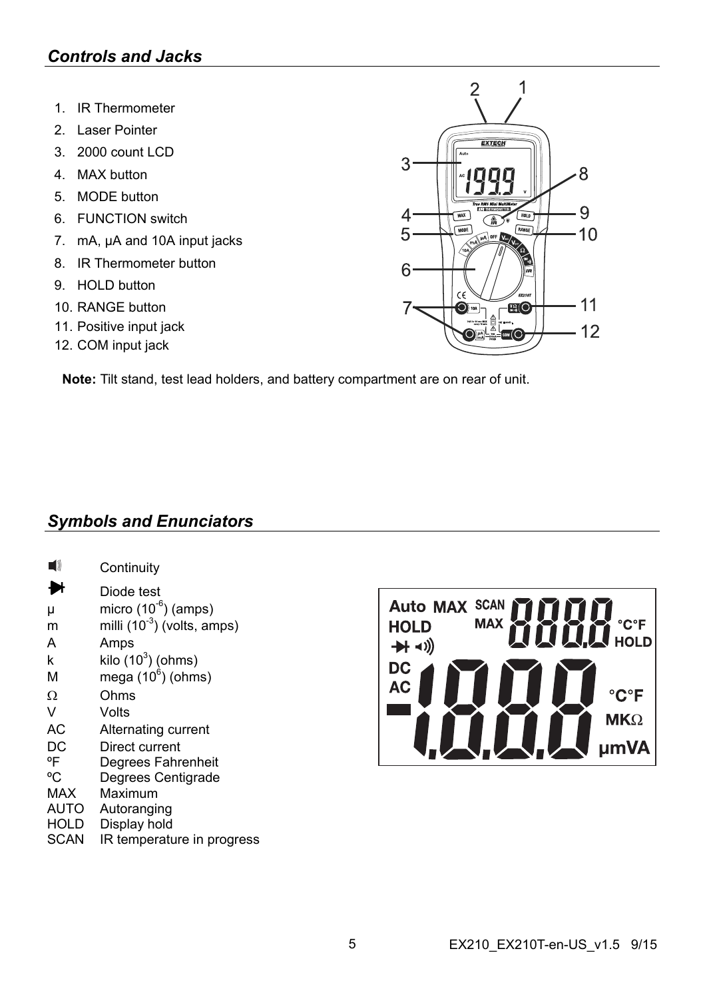## *Controls and Jacks*

- 1. IR Thermometer
- 2. Laser Pointer
- 3. 2000 count LCD
- 4. MAX button
- 5. MODE button
- 6. FUNCTION switch
- 7. mA, µA and 10A input jacks
- 8. IR Thermometer button
- 9. HOLD button
- 10. RANGE button
- 11. Positive input jack
- 12. COM input jack

**Note:** Tilt stand, test lead holders, and battery compartment are on rear of unit.

## *Symbols and Enunciators*

| 11          | Continuity                              |
|-------------|-----------------------------------------|
| H           | Diode test                              |
| μ           | micro (10 <sup>-6</sup> ) (amps)        |
| m           | milli (10 <sup>-3</sup> ) (volts, amps) |
| Α           | Amps                                    |
| k           | kilo (10 $3$ ) (ohms)                   |
| м           | mega (10 <sup>6</sup> ) (ohms)          |
| Ω           | Ohms                                    |
| v           | Volts                                   |
| AC          | Alternating current                     |
| DC          | Direct current                          |
| ٥F          | Degrees Fahrenheit                      |
| °C          | Degrees Centigrade                      |
| MAX         | Maximum                                 |
| AUTO        | Autoranging                             |
| HOLD        | Display hold                            |
| <b>SCAN</b> | IR temperature in progress              |



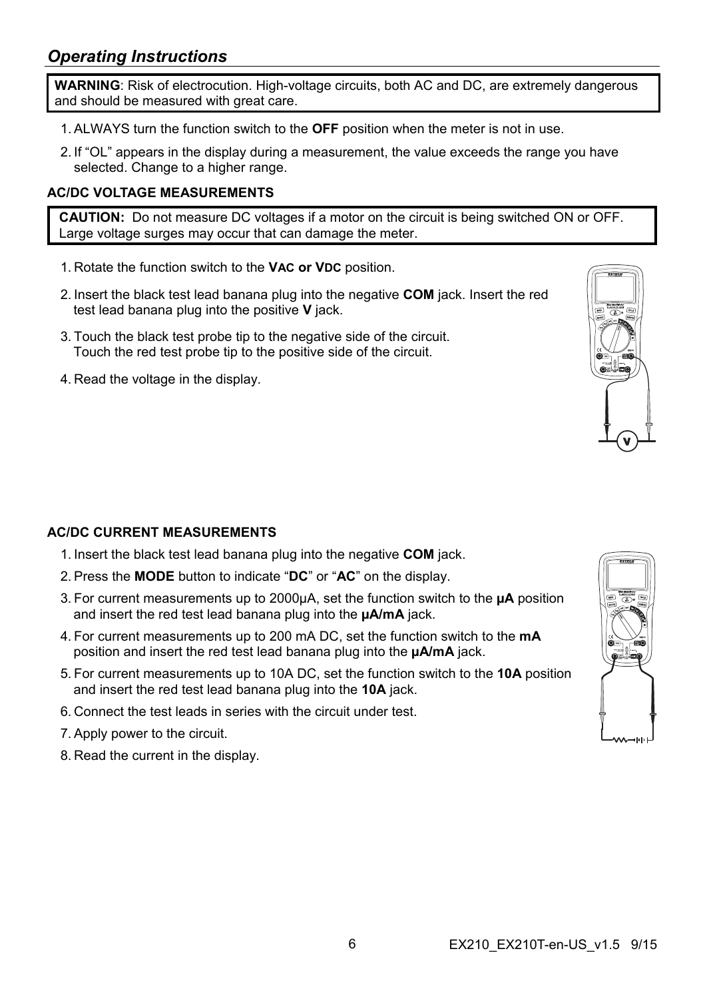**WARNING**: Risk of electrocution. High-voltage circuits, both AC and DC, are extremely dangerous and should be measured with great care.

- 1. ALWAYS turn the function switch to the **OFF** position when the meter is not in use.
- 2. If "OL" appears in the display during a measurement, the value exceeds the range you have selected. Change to a higher range.

#### **AC/DC VOLTAGE MEASUREMENTS**

**CAUTION:** Do not measure DC voltages if a motor on the circuit is being switched ON or OFF. Large voltage surges may occur that can damage the meter.

- 1. Rotate the function switch to the **VAC or VDC** position.
- 2. Insert the black test lead banana plug into the negative **COM** jack. Insert the red test lead banana plug into the positive **V** jack.
- 3. Touch the black test probe tip to the negative side of the circuit. Touch the red test probe tip to the positive side of the circuit.
- 4. Read the voltage in the display.

#### **AC/DC CURRENT MEASUREMENTS**

- 1. Insert the black test lead banana plug into the negative **COM** jack.
- 2. Press the **MODE** button to indicate "**DC**" or "**AC**" on the display.
- 3. For current measurements up to 2000µA, set the function switch to the **µA** position and insert the red test lead banana plug into the **µA/mA** jack.
- 4. For current measurements up to 200 mA DC, set the function switch to the **mA** position and insert the red test lead banana plug into the **µA/mA** jack.
- 5. For current measurements up to 10A DC, set the function switch to the **10A** position and insert the red test lead banana plug into the **10A** jack.
- 6. Connect the test leads in series with the circuit under test.
- 7. Apply power to the circuit.
- 8. Read the current in the display.



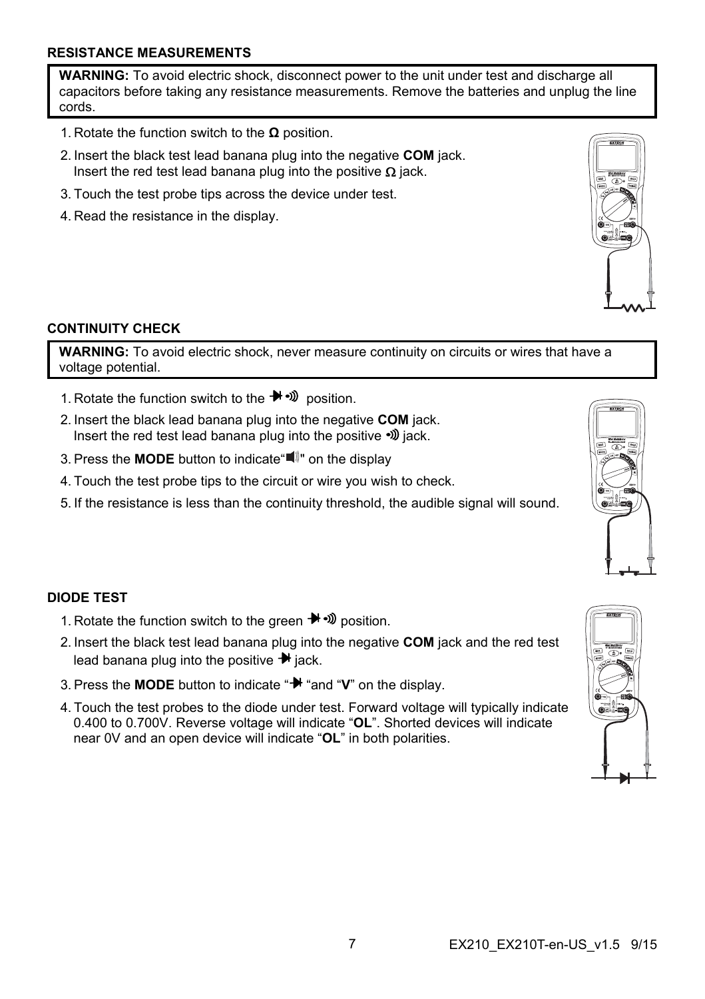#### **RESISTANCE MEASUREMENTS**

**WARNING:** To avoid electric shock, disconnect power to the unit under test and discharge all capacitors before taking any resistance measurements. Remove the batteries and unplug the line cords.

- 1. Rotate the function switch to the **Ω** position.
- 2. Insert the black test lead banana plug into the negative **COM** jack. Insert the red test lead banana plug into the positive  $\Omega$  jack.
- 3. Touch the test probe tips across the device under test.
- 4. Read the resistance in the display.

#### **CONTINUITY CHECK**

**WARNING:** To avoid electric shock, never measure continuity on circuits or wires that have a voltage potential.

- 1. Rotate the function switch to the  $\blacktriangleright$   $\blacktriangleright$   $\bowtie$  position.
- 2. Insert the black lead banana plug into the negative **COM** jack. Insert the red test lead banana plug into the positive  $\mathcal{V}$  jack.
- 3. Press the **MODE** button to indicate  $\blacksquare$  on the display
- 4. Touch the test probe tips to the circuit or wire you wish to check.
- 5. If the resistance is less than the continuity threshold, the audible signal will sound.

#### **DIODE TEST**

- 1. Rotate the function switch to the green  $\blacktriangleright$   $\clubsuit$   $\mathfrak{W}$  position.
- 2. Insert the black test lead banana plug into the negative **COM** jack and the red test lead banana plug into the positive  $\blacktriangleright$  iack.
- 3. Press the **MODE** button to indicate " $\mathbb{H}$  "and "V" on the display.
- 4. Touch the test probes to the diode under test. Forward voltage will typically indicate 0.400 to 0.700V. Reverse voltage will indicate "**OL**". Shorted devices will indicate near 0V and an open device will indicate "**OL**" in both polarities.





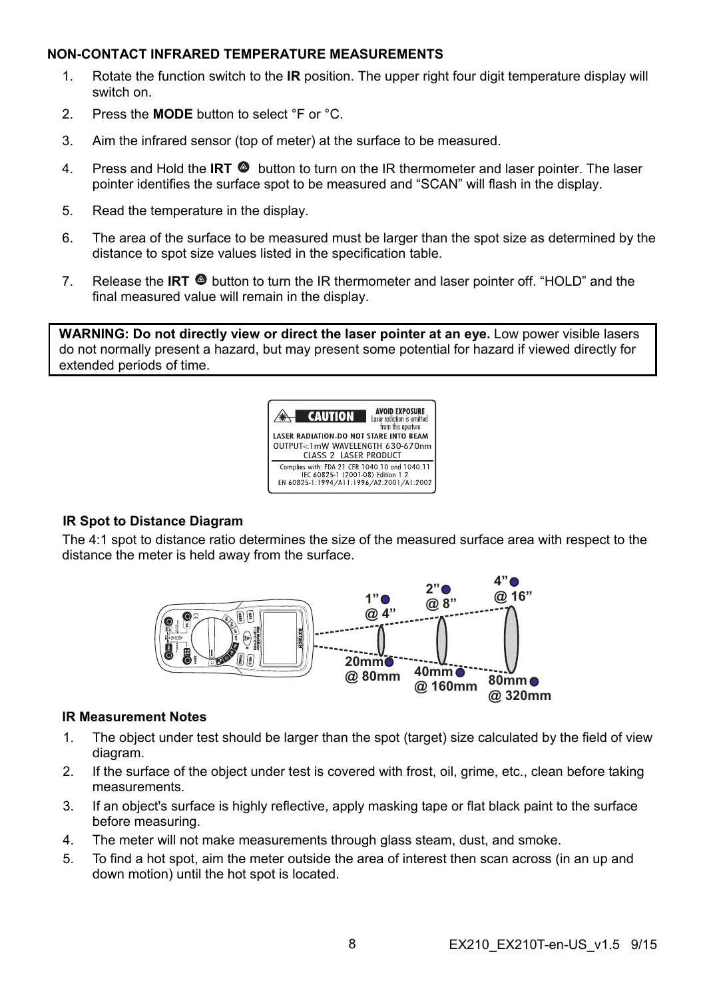#### **NON-CONTACT INFRARED TEMPERATURE MEASUREMENTS**

- 1. Rotate the function switch to the **IR** position. The upper right four digit temperature display will switch on.
- 2. Press the **MODE** button to select °F or °C.
- 3. Aim the infrared sensor (top of meter) at the surface to be measured.
- 4. Press and Hold the **IRT @** button to turn on the IR thermometer and laser pointer. The laser pointer identifies the surface spot to be measured and "SCAN" will flash in the display.
- 5. Read the temperature in the display.
- 6. The area of the surface to be measured must be larger than the spot size as determined by the distance to spot size values listed in the specification table.
- 7. Release the **IRT**  $\bullet$  button to turn the IR thermometer and laser pointer off. "HOLD" and the final measured value will remain in the display.

**WARNING: Do not directly view or direct the laser pointer at an eye.** Low power visible lasers do not normally present a hazard, but may present some potential for hazard if viewed directly for extended periods of time.



#### **IR Spot to Distance Diagram**

The 4:1 spot to distance ratio determines the size of the measured surface area with respect to the distance the meter is held away from the surface.



#### **IR Measurement Notes**

- 1. The object under test should be larger than the spot (target) size calculated by the field of view diagram.
- 2. If the surface of the object under test is covered with frost, oil, grime, etc., clean before taking measurements.
- 3. If an object's surface is highly reflective, apply masking tape or flat black paint to the surface before measuring.
- 4. The meter will not make measurements through glass steam, dust, and smoke.
- 5. To find a hot spot, aim the meter outside the area of interest then scan across (in an up and down motion) until the hot spot is located.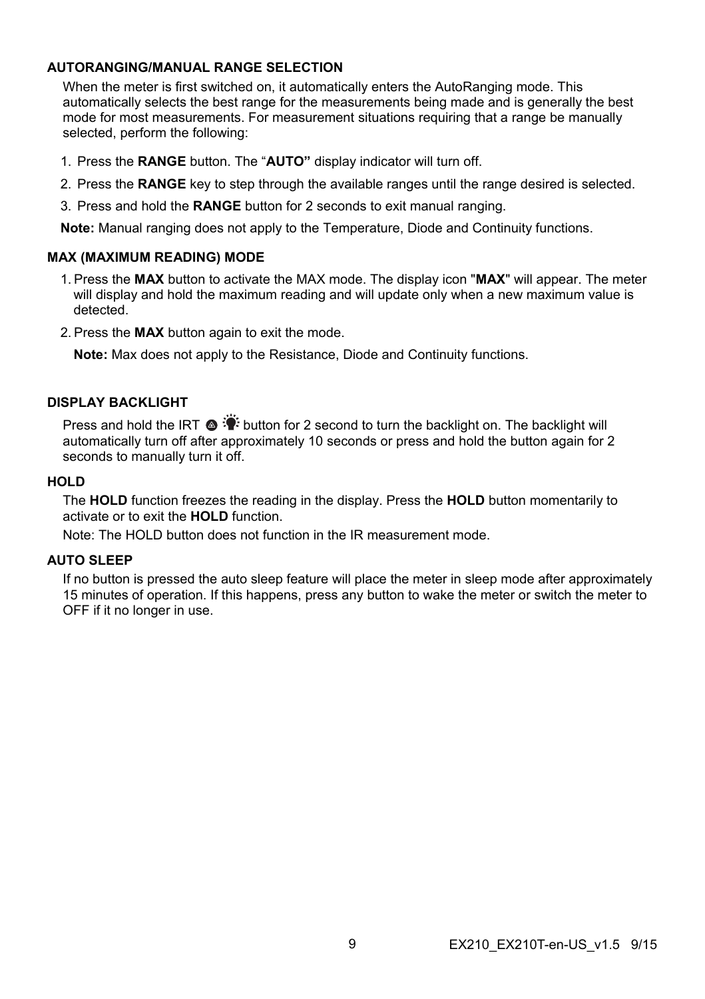#### **AUTORANGING/MANUAL RANGE SELECTION**

When the meter is first switched on, it automatically enters the AutoRanging mode. This automatically selects the best range for the measurements being made and is generally the best mode for most measurements. For measurement situations requiring that a range be manually selected, perform the following:

- 1. Press the **RANGE** button. The "**AUTO"** display indicator will turn off.
- 2. Press the **RANGE** key to step through the available ranges until the range desired is selected.
- 3. Press and hold the **RANGE** button for 2 seconds to exit manual ranging.

**Note:** Manual ranging does not apply to the Temperature, Diode and Continuity functions.

#### **MAX (MAXIMUM READING) MODE**

- 1. Press the **MAX** button to activate the MAX mode. The display icon "**MAX**" will appear. The meter will display and hold the maximum reading and will update only when a new maximum value is detected.
- 2. Press the **MAX** button again to exit the mode.

**Note:** Max does not apply to the Resistance, Diode and Continuity functions.

#### **DISPLAY BACKLIGHT**

Press and hold the IRT  $\otimes \ddot{\ddot{\bullet}}$  button for 2 second to turn the backlight on. The backlight will automatically turn off after approximately 10 seconds or press and hold the button again for 2 seconds to manually turn it off.

#### **HOLD**

The **HOLD** function freezes the reading in the display. Press the **HOLD** button momentarily to activate or to exit the **HOLD** function.

Note: The HOLD button does not function in the IR measurement mode.

#### **AUTO SLEEP**

If no button is pressed the auto sleep feature will place the meter in sleep mode after approximately 15 minutes of operation. If this happens, press any button to wake the meter or switch the meter to OFF if it no longer in use.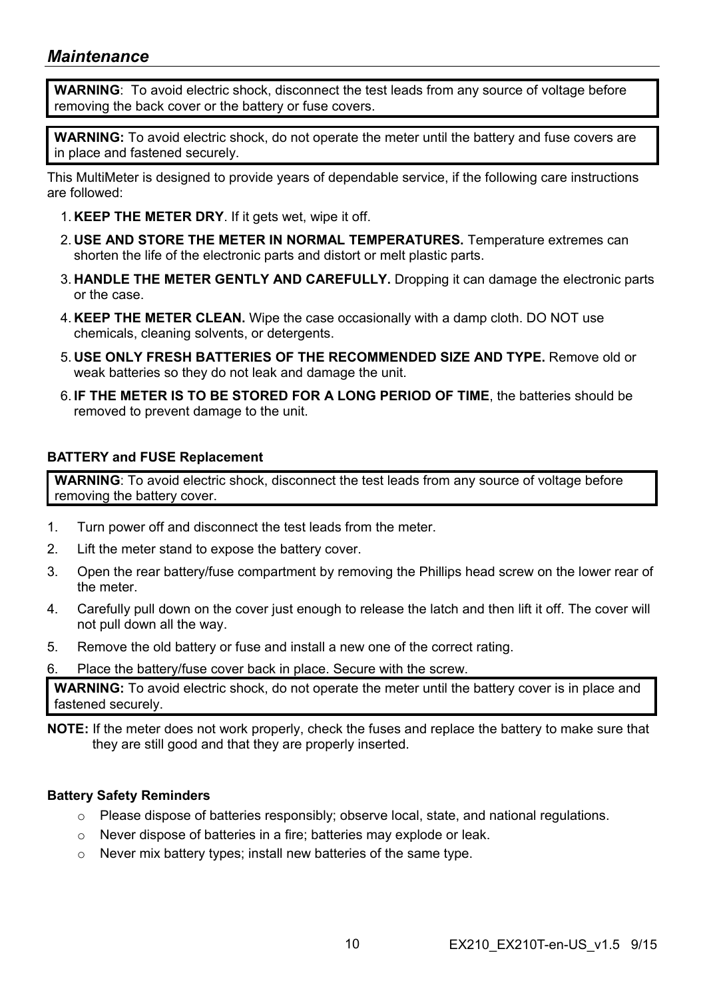### *Maintenance*

**WARNING**: To avoid electric shock, disconnect the test leads from any source of voltage before removing the back cover or the battery or fuse covers.

**WARNING:** To avoid electric shock, do not operate the meter until the battery and fuse covers are in place and fastened securely.

This MultiMeter is designed to provide years of dependable service, if the following care instructions are followed:

- 1. **KEEP THE METER DRY**. If it gets wet, wipe it off.
- 2. **USE AND STORE THE METER IN NORMAL TEMPERATURES.** Temperature extremes can shorten the life of the electronic parts and distort or melt plastic parts.
- 3. **HANDLE THE METER GENTLY AND CAREFULLY.** Dropping it can damage the electronic parts or the case.
- 4. **KEEP THE METER CLEAN.** Wipe the case occasionally with a damp cloth. DO NOT use chemicals, cleaning solvents, or detergents.
- 5. **USE ONLY FRESH BATTERIES OF THE RECOMMENDED SIZE AND TYPE.** Remove old or weak batteries so they do not leak and damage the unit.
- 6. **IF THE METER IS TO BE STORED FOR A LONG PERIOD OF TIME**, the batteries should be removed to prevent damage to the unit.

#### **BATTERY and FUSE Replacement**

**WARNING**: To avoid electric shock, disconnect the test leads from any source of voltage before removing the battery cover.

- 1. Turn power off and disconnect the test leads from the meter.
- 2. Lift the meter stand to expose the battery cover.
- 3. Open the rear battery/fuse compartment by removing the Phillips head screw on the lower rear of the meter.
- 4. Carefully pull down on the cover just enough to release the latch and then lift it off. The cover will not pull down all the way.
- 5. Remove the old battery or fuse and install a new one of the correct rating.
- 6. Place the battery/fuse cover back in place. Secure with the screw.

**WARNING:** To avoid electric shock, do not operate the meter until the battery cover is in place and fastened securely.

**NOTE:** If the meter does not work properly, check the fuses and replace the battery to make sure that they are still good and that they are properly inserted.

#### **Battery Safety Reminders**

- o Please dispose of batteries responsibly; observe local, state, and national regulations.
- o Never dispose of batteries in a fire; batteries may explode or leak.
- o Never mix battery types; install new batteries of the same type.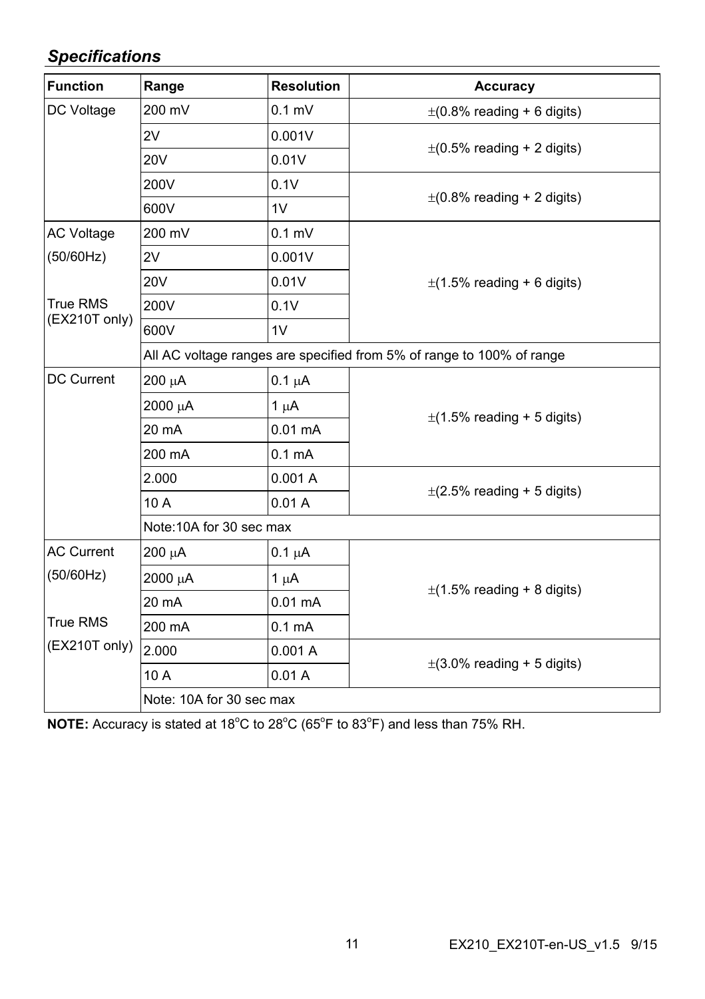## *Specifications*

| <b>Function</b>                        | Range                                                                 | <b>Resolution</b>  | Accuracy                        |  |  |
|----------------------------------------|-----------------------------------------------------------------------|--------------------|---------------------------------|--|--|
| DC Voltage                             | 200 mV                                                                | $0.1$ mV           | $\pm$ (0.8% reading + 6 digits) |  |  |
|                                        | 2V                                                                    | 0.001V             | $\pm$ (0.5% reading + 2 digits) |  |  |
|                                        | <b>20V</b>                                                            | 0.01V              |                                 |  |  |
|                                        | 200V                                                                  | 0.1V               |                                 |  |  |
|                                        | 600V                                                                  | 1V                 | $\pm$ (0.8% reading + 2 digits) |  |  |
| <b>AC Voltage</b>                      | 200 mV                                                                | $0.1$ mV           |                                 |  |  |
| (50/60Hz)<br>True RMS<br>(EX210T only) | 2V                                                                    | 0.001V             |                                 |  |  |
|                                        | <b>20V</b>                                                            | 0.01V              | $\pm$ (1.5% reading + 6 digits) |  |  |
|                                        | 200V                                                                  | 0.1V               |                                 |  |  |
|                                        | 600V                                                                  | 1V                 |                                 |  |  |
|                                        | All AC voltage ranges are specified from 5% of range to 100% of range |                    |                                 |  |  |
| <b>DC Current</b>                      | $200 \mu A$                                                           | $0.1 \mu A$        |                                 |  |  |
|                                        | 2000 µA                                                               | $1 \mu A$          | $\pm$ (1.5% reading + 5 digits) |  |  |
|                                        | 20 mA                                                                 | $0.01 \text{ mA}$  |                                 |  |  |
|                                        | 200 mA                                                                | 0.1 <sub>m</sub> A |                                 |  |  |
|                                        | 2.000                                                                 | 0.001A             | $\pm$ (2.5% reading + 5 digits) |  |  |
|                                        | 10 A                                                                  | 0.01A              |                                 |  |  |
|                                        | Note: 10A for 30 sec max                                              |                    |                                 |  |  |
| <b>AC Current</b>                      | $200 \mu A$                                                           | $0.1 \mu A$        |                                 |  |  |
| (50/60Hz)<br>True RMS<br>(EX210T only) | 2000 µA                                                               | $1 \mu A$          | $\pm$ (1.5% reading + 8 digits) |  |  |
|                                        | 20 mA                                                                 | $0.01 \text{ mA}$  |                                 |  |  |
|                                        | 200 mA                                                                | 0.1 <sub>m</sub> A |                                 |  |  |
|                                        | 2.000                                                                 | 0.001A             | $\pm$ (3.0% reading + 5 digits) |  |  |
|                                        | 10 A                                                                  | 0.01A              |                                 |  |  |
|                                        | Note: 10A for 30 sec max                                              |                    |                                 |  |  |

NOTE: Accuracy is stated at 18<sup>°</sup>C to 28<sup>°</sup>C (65<sup>°</sup>F to 83<sup>°</sup>F) and less than 75% RH.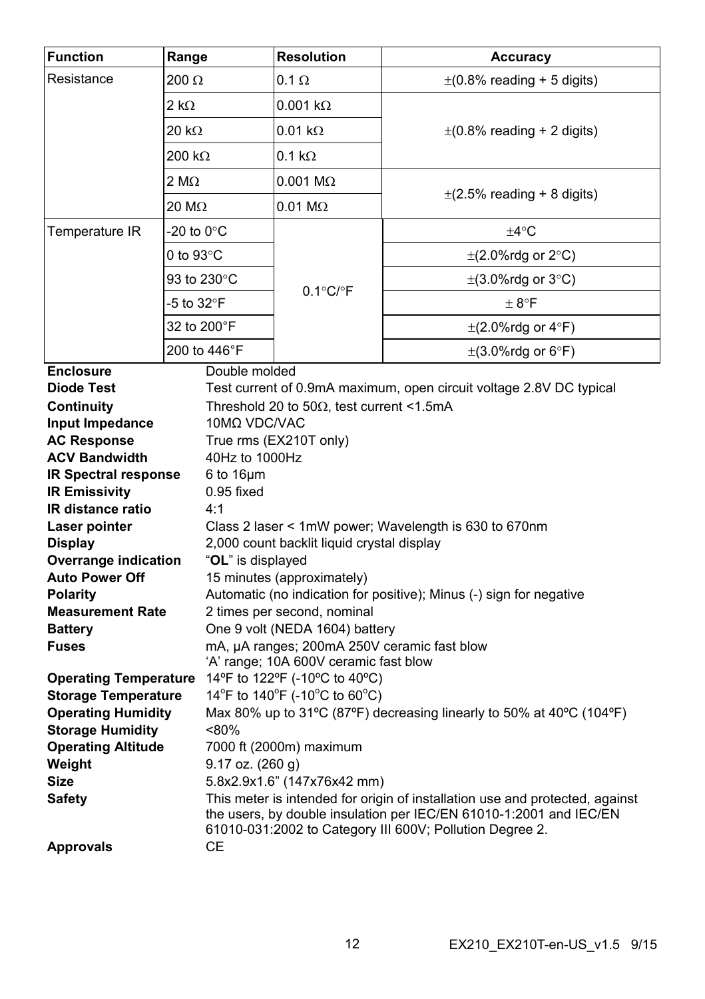| <b>Function</b>                                                                                                                                                                                                                                                                                                                                                                                                                            | Range                    |                                                                                                                                                                                                                                                                                                                                                                                                                                                                                                                         | <b>Resolution</b>                                                                                                                                                                                                                                                                                                                                                                                                  | <b>Accuracy</b>                 |
|--------------------------------------------------------------------------------------------------------------------------------------------------------------------------------------------------------------------------------------------------------------------------------------------------------------------------------------------------------------------------------------------------------------------------------------------|--------------------------|-------------------------------------------------------------------------------------------------------------------------------------------------------------------------------------------------------------------------------------------------------------------------------------------------------------------------------------------------------------------------------------------------------------------------------------------------------------------------------------------------------------------------|--------------------------------------------------------------------------------------------------------------------------------------------------------------------------------------------------------------------------------------------------------------------------------------------------------------------------------------------------------------------------------------------------------------------|---------------------------------|
| Resistance                                                                                                                                                                                                                                                                                                                                                                                                                                 | 200 Ω                    |                                                                                                                                                                                                                                                                                                                                                                                                                                                                                                                         | $0.1 \Omega$                                                                                                                                                                                                                                                                                                                                                                                                       | $\pm$ (0.8% reading + 5 digits) |
| 2 k $\Omega$                                                                                                                                                                                                                                                                                                                                                                                                                               |                          |                                                                                                                                                                                                                                                                                                                                                                                                                                                                                                                         | $0.001$ k $\Omega$                                                                                                                                                                                                                                                                                                                                                                                                 |                                 |
| 20 kΩ                                                                                                                                                                                                                                                                                                                                                                                                                                      |                          |                                                                                                                                                                                                                                                                                                                                                                                                                                                                                                                         | $0.01 k\Omega$                                                                                                                                                                                                                                                                                                                                                                                                     | $\pm$ (0.8% reading + 2 digits) |
|                                                                                                                                                                                                                                                                                                                                                                                                                                            | 200 kΩ                   |                                                                                                                                                                                                                                                                                                                                                                                                                                                                                                                         | $0.1 \text{ k}\Omega$                                                                                                                                                                                                                                                                                                                                                                                              |                                 |
|                                                                                                                                                                                                                                                                                                                                                                                                                                            | $2 \text{ M}\Omega$      |                                                                                                                                                                                                                                                                                                                                                                                                                                                                                                                         | $0.001$ M $\Omega$                                                                                                                                                                                                                                                                                                                                                                                                 |                                 |
| 20 MΩ                                                                                                                                                                                                                                                                                                                                                                                                                                      |                          |                                                                                                                                                                                                                                                                                                                                                                                                                                                                                                                         | $0.01$ M $\Omega$                                                                                                                                                                                                                                                                                                                                                                                                  | $\pm$ (2.5% reading + 8 digits) |
| Temperature IR                                                                                                                                                                                                                                                                                                                                                                                                                             | -20 to $0^{\circ}$ C     |                                                                                                                                                                                                                                                                                                                                                                                                                                                                                                                         |                                                                                                                                                                                                                                                                                                                                                                                                                    | $+4^{\circ}$ C                  |
|                                                                                                                                                                                                                                                                                                                                                                                                                                            | 0 to 93 $\rm ^{\circ}$ C |                                                                                                                                                                                                                                                                                                                                                                                                                                                                                                                         |                                                                                                                                                                                                                                                                                                                                                                                                                    | $\pm$ (2.0%rdg or 2°C)          |
|                                                                                                                                                                                                                                                                                                                                                                                                                                            |                          | 93 to 230°C                                                                                                                                                                                                                                                                                                                                                                                                                                                                                                             | $0.1^{\circ}$ C/ $\circ$ F                                                                                                                                                                                                                                                                                                                                                                                         | $\pm$ (3.0%rdg or 3°C)          |
|                                                                                                                                                                                                                                                                                                                                                                                                                                            | -5 to 32°F               |                                                                                                                                                                                                                                                                                                                                                                                                                                                                                                                         |                                                                                                                                                                                                                                                                                                                                                                                                                    | $\pm$ 8°F                       |
|                                                                                                                                                                                                                                                                                                                                                                                                                                            |                          | 32 to 200°F                                                                                                                                                                                                                                                                                                                                                                                                                                                                                                             |                                                                                                                                                                                                                                                                                                                                                                                                                    | $\pm$ (2.0%rdg or 4°F)          |
| <b>Enclosure</b>                                                                                                                                                                                                                                                                                                                                                                                                                           |                          | 200 to 446°F                                                                                                                                                                                                                                                                                                                                                                                                                                                                                                            |                                                                                                                                                                                                                                                                                                                                                                                                                    | $\pm$ (3.0%rdg or 6°F)          |
| <b>Diode Test</b><br>Continuity<br>10MΩ VDC/VAC<br>Input Impedance<br><b>AC Response</b><br><b>ACV Bandwidth</b><br>40Hz to 1000Hz<br>IR Spectral response<br>$6$ to 16 $\mu$ m<br><b>IR Emissivity</b><br>0.95 fixed<br><b>IR distance ratio</b><br>4:1<br>Laser pointer<br>Display<br><b>Overrange indication</b><br>"OL" is displayed<br><b>Auto Power Off</b><br>Polarity<br><b>Measurement Rate</b><br><b>Battery</b><br><b>Fuses</b> |                          | Test current of 0.9mA maximum, open circuit voltage 2.8V DC typical<br>Threshold 20 to 50 $\Omega$ , test current <1.5mA<br>True rms (EX210T only)<br>Class 2 laser < 1mW power; Wavelength is 630 to 670nm<br>2,000 count backlit liquid crystal display<br>15 minutes (approximately)<br>Automatic (no indication for positive); Minus (-) sign for negative<br>2 times per second, nominal<br>One 9 volt (NEDA 1604) battery<br>mA, µA ranges; 200mA 250V ceramic fast blow<br>'A' range; 10A 600V ceramic fast blow |                                                                                                                                                                                                                                                                                                                                                                                                                    |                                 |
| <b>Operating Temperature</b><br><b>Storage Temperature</b><br><b>Operating Humidity</b><br><80%<br><b>Storage Humidity</b><br><b>Operating Altitude</b><br>Weight<br>$9.17$ oz. (260 g)<br>Size<br>Safety<br><b>CE</b><br><b>Approvals</b>                                                                                                                                                                                                 |                          |                                                                                                                                                                                                                                                                                                                                                                                                                                                                                                                         | 14°F to 122°F (-10°C to 40°C)<br>14°F to 140°F (-10°C to 60°C)<br>Max 80% up to 31°C (87°F) decreasing linearly to 50% at 40°C (104°F)<br>7000 ft (2000m) maximum<br>5.8x2.9x1.6" (147x76x42 mm)<br>This meter is intended for origin of installation use and protected, against<br>the users, by double insulation per IEC/EN 61010-1:2001 and IEC/EN<br>61010-031:2002 to Category III 600V; Pollution Degree 2. |                                 |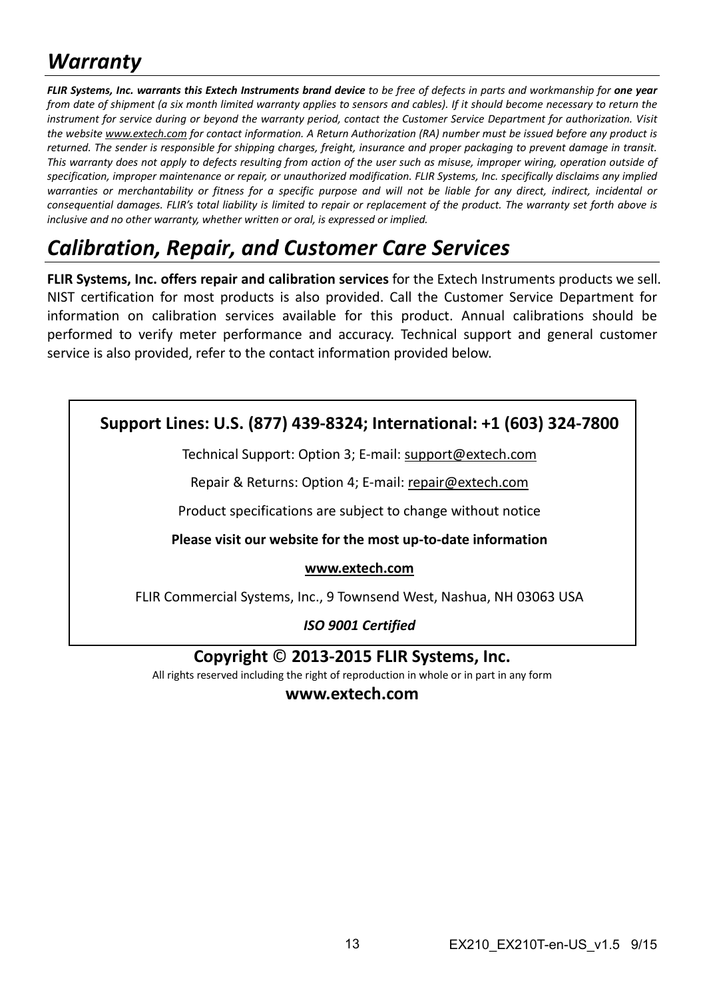## *Warranty*

FLIR Systems, Inc. warrants this Extech Instruments brand device to be free of defects in parts and workmanship for one year from date of shipment (a six month limited warranty applies to sensors and cables). If it should become necessary to return the instrument for service during or beyond the warranty period, contact the Customer Service Department for authorization. Visit the website www.extech.com for contact information. A Return Authorization (RA) number must be issued before any product is returned. The sender is responsible for shipping charges, freight, insurance and proper packaging to prevent damage in transit. This warranty does not apply to defects resulting from action of the user such as misuse, improper wiring, operation outside of specification, improper maintenance or repair, or unauthorized modification. FLIR Systems, Inc. specifically disclaims any implied warranties or merchantability or fitness for a specific purpose and will not be liable for any direct, indirect, incidental or consequential damages. FLIR's total liability is limited to repair or replacement of the product. The warranty set forth above is *inclusive and no other warranty, whether written or oral, is expressed or implied.*

## *Calibration, Repair, and Customer Care Services*

**FLIR Systems, Inc. offers repair and calibration services** for the Extech Instruments products we sell. NIST certification for most products is also provided. Call the Customer Service Department for information on calibration services available for this product. Annual calibrations should be performed to verify meter performance and accuracy. Technical support and general customer service is also provided, refer to the contact information provided below.

## **Support Lines: U.S. (877) 439‐8324; International: +1 (603) 324‐7800**

Technical Support: Option 3; E‐mail: support@extech.com

Repair & Returns: Option 4; E‐mail: repair@extech.com

Product specifications are subject to change without notice

#### **Please visit our website for the most up‐to‐date information**

#### **www.extech.com**

FLIR Commercial Systems, Inc., 9 Townsend West, Nashua, NH 03063 USA

*ISO 9001 Certified*

### **Copyright** © **2013‐2015 FLIR Systems, Inc.**

All rights reserved including the right of reproduction in whole or in part in any form

**www.extech.com**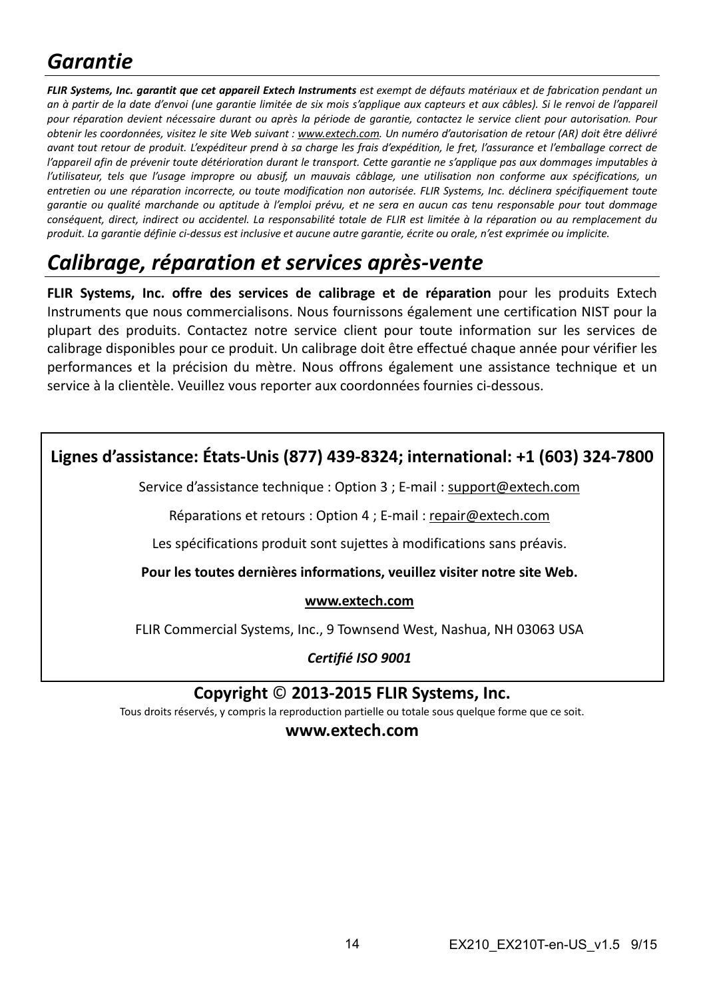## *Garantie*

FLIR Systems, Inc. garantit que cet appareil Extech Instruments est exempt de défauts matériaux et de fabrication pendant un an à partir de la date d'envoi (une garantie limitée de six mois s'applique aux capteurs et aux câbles). Si le renvoi de l'appareil pour réparation devient nécessaire durant ou après la période de garantie, contactez le service client pour autorisation. Pour obtenir les coordonnées, visitez le site Web suivant : www.extech.com. Un numéro d'autorisation de retour (AR) doit être délivré avant tout retour de produit. L'expéditeur prend à sa charge les frais d'expédition. le fret. l'assurance et l'emballage correct de l'appareil afin de prévenir toute détérioration durant le transport. Cette garantie ne s'applique pas aux dommages imputables à l'utilisateur, tels que l'usage impropre ou abusif, un mauvais câblage, une utilisation non conforme aux spécifications, un entretien ou une réparation incorrecte, ou toute modification non autorisée. FLIR Systems, Inc. déclinera spécifiquement toute garantie ou qualité marchande ou aptitude à l'emploi prévu, et ne sera en aucun cas tenu responsable pour tout dommage conséquent, direct, indirect ou accidentel. La responsabilité totale de FLIR est limitée à la réparation ou au remplacement du produit. La garantie définie ci-dessus est inclusive et aucune autre garantie, écrite ou orale, n'est exprimée ou implicite.

## *Calibrage, réparation et services après‐vente*

**FLIR Systems, Inc. offre des services de calibrage et de réparation** pour les produits Extech Instruments que nous commercialisons. Nous fournissons également une certification NIST pour la plupart des produits. Contactez notre service client pour toute information sur les services de calibrage disponibles pour ce produit. Un calibrage doit être effectué chaque année pour vérifier les performances et la précision du mètre. Nous offrons également une assistance technique et un service à la clientèle. Veuillez vous reporter aux coordonnées fournies ci‐dessous.

## **Lignes d'assistance: États‐Unis (877) 439‐8324; international: +1 (603) 324‐7800**

Service d'assistance technique : Option 3 ; E‐mail : support@extech.com

Réparations et retours : Option 4 ; E‐mail : repair@extech.com

Les spécifications produit sont sujettes à modifications sans préavis.

**Pour les toutes dernières informations, veuillez visiter notre site Web.**

#### **www.extech.com**

FLIR Commercial Systems, Inc., 9 Townsend West, Nashua, NH 03063 USA

*Certifié ISO 9001*

### **Copyright** © **2013‐2015 FLIR Systems, Inc.**

Tous droits réservés, y compris la reproduction partielle ou totale sous quelque forme que ce soit.

**www.extech.com**